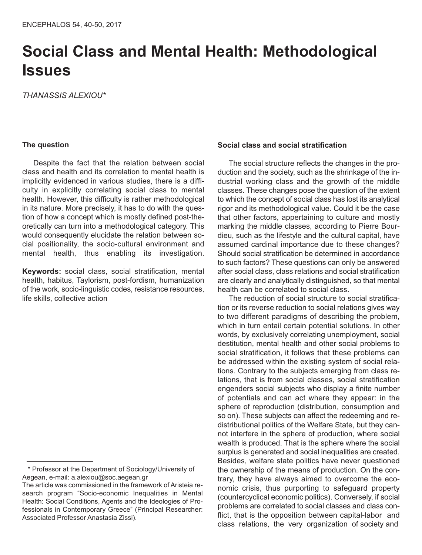# **Social Class and Mental Health: Methodological Issues**

*THANASSIS ALEXIOU\**

## **The question**

Despite the fact that the relation between social class and health and its correlation to mental health is implicitly evidenced in various studies, there is a difficulty in explicitly correlating social class to mental health. However, this difficulty is rather methodological in its nature. More precisely, it has to do with the question of how a concept which is mostly defined post-theoretically can turn into a methodological category. This would consequently elucidate the relation between social positionality, the socio-cultural environment and mental health, thus enabling its investigation.

**Keywords:** social class, social stratification, mental health, habitus, Taylorism, post-fordism, humanization of the work, socio-linguistic codes, resistance resources, life skills, collective action

# **Social class and social stratification**

The social structure reflects the changes in the production and the society, such as the shrinkage of the industrial working class and the growth of the middle classes. These changes pose the question of the extent to which the concept of social class has lost its analytical rigor and its methodological value. Could it be the case that other factors, appertaining to culture and mostly marking the middle classes, according to Pierre Bourdieu, such as the lifestyle and the cultural capital, have assumed cardinal importance due to these changes? Should social stratification be determined in accordance to such factors? These questions can only be answered after social class, class relations and social stratification are clearly and analytically distinguished, so that mental health can be correlated to social class.

The reduction of social structure to social stratification or its reverse reduction to social relations gives way to two different paradigms of describing the problem, which in turn entail certain potential solutions. In other words, by exclusively correlating unemployment, social destitution, mental health and other social problems to social stratification, it follows that these problems can be addressed within the existing system of social relations. Contrary to the subjects emerging from class relations, that is from social classes, social stratification engenders social subjects who display a finite number of potentials and can act where they appear: in the sphere of reproduction (distribution, consumption and so on). These subjects can affect the redeeming and redistributional politics of the Welfare State, but they cannot interfere in the sphere of production, where social wealth is produced. That is the sphere where the social surplus is generated and social inequalities are created. Besides, welfare state politics have never questioned the ownership of the means of production. On the contrary, they have always aimed to overcome the economic crisis, thus purporting to safeguard property (countercyclical economic politics). Conversely, if social problems are correlated to social classes and class conflict, that is the opposition between capital-labor and class relations, the very organization of society and

<sup>\*</sup> Professor at the Department of Sociology/University of Aegean, e-mail: a.alexiou@soc.aegean.gr

The article was commissioned in the framework of Aristeia research program "Socio-economic Inequalities in Mental Health: Social Conditions, Agents and the Ideologies of Professionals in Contemporary Greece" (Principal Researcher: Associated Professor Anastasia Zissi).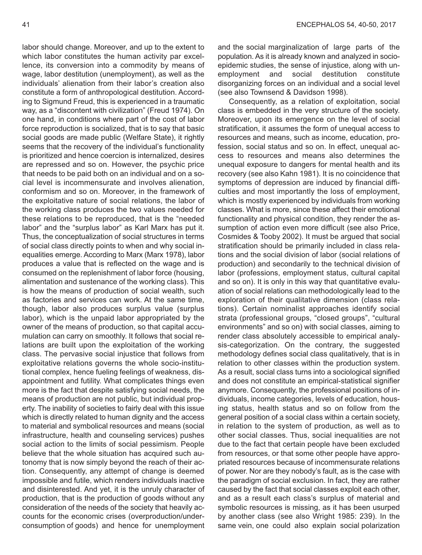labor should change. Moreover, and up to the extent to which labor constitutes the human activity par excellence, its conversion into a commodity by means of wage, labor destitution (unemployment), as well as the individuals' alienation from their labor's creation also constitute a form of anthropological destitution. According to Sigmund Freud, this is experienced in a traumatic way, as a "discontent with civilization" (Freud 1974). On one hand, in conditions where part of the cost of labor force reproduction is socialized, that is to say that basic social goods are made public (Welfare State), it rightly seems that the recovery of the individual's functionality is prioritized and hence coercion is internalized, desires are repressed and so on. However, the psychic price that needs to be paid both on an individual and on a social level is incommensurate and involves alienation, conformism and so on. Moreover, in the framework of the exploitative nature of social relations, the labor of the working class produces the two values needed for these relations to be reproduced, that is the "needed labor" and the "surplus labor" as Karl Marx has put it. Thus, the conceptualization of social structures in terms of social class directly points to when and why social inequalities emerge. According to Marx (Marx 1978), labor produces a value that is reflected on the wage and is consumed on the replenishment of labor force (housing, alimentation and sustenance of the working class). This is how the means of production of social wealth, such as factories and services can work. At the same time, though, labor also produces surplus value (surplus labor), which is the unpaid labor appropriated by the owner of the means of production, so that capital accumulation can carry on smoothly. It follows that social relations are built upon the exploitation of the working class. The pervasive social injustice that follows from exploitative relations governs the whole socio-institutional complex, hence fueling feelings of weakness, disappointment and futility. What complicates things even more is the fact that despite satisfying social needs, the means of production are not public, but individual property. The inability of societies to fairly deal with this issue which is directly related to human dignity and the access to material and symbolical resources and means (social infrastructure, health and counseling services) pushes social action to the limits of social pessimism. People believe that the whole situation has acquired such autonomy that is now simply beyond the reach of their action. Consequently, any attempt of change is deemed impossible and futile, which renders individuals inactive and disinterested. And yet, it is the unruly character of production, that is the production of goods without any consideration of the needs of the society that heavily accounts for the economic crises (overproduction/underconsumption of goods) and hence for unemployment and the social marginalization of large parts of the population. As it is already known and analyzed in socioepidemic studies, the sense of injustice, along with unemployment and social destitution constitute disorganizing forces on an individual and a social level (see also Townsend & Davidson 1998).

Consequently, as a relation of exploitation, social class is embedded in the very structure of the society. Moreover, upon its emergence on the level of social stratification, it assumes the form of unequal access to resources and means, such as income, education, profession, social status and so on. In effect, unequal access to resources and means also determines the unequal exposure to dangers for mental health and its recovery (see also Kahn 1981). It is no coincidence that symptoms of depression are induced by financial difficulties and most importantly the loss of employment, which is mostly experienced by individuals from working classes. What is more, since these affect their emotional functionality and physical condition, they render the assumption of action even more difficult (see also Price, Cosmides & Tooby 2002). It must be argued that social stratification should be primarily included in class relations and the social division of labor (social relations of production) and secondarily to the technical division of labor (professions, employment status, cultural capital and so on). It is only in this way that quantitative evaluation of social relations can methodologically lead to the exploration of their qualitative dimension (class relations). Certain nominalist approaches identify social strata (professional groups, "closed groups", "cultural environments" and so on) with social classes, aiming to render class absolutely accessible to empirical analysis-categorization. On the contrary, the suggested methodology defines social class qualitatively, that is in relation to other classes within the production system. As a result, social class turns into a sociological signified and does not constitute an empirical-statistical signifier anymore. Consequently, the professional positions of individuals, income categories, levels of education, housing status, health status and so on follow from the general position of a social class within a certain society, in relation to the system of production, as well as to other social classes. Thus, social inequalities are not due to the fact that certain people have been excluded from resources, or that some other people have appropriated resources because of incommensurate relations of power. Nor are they nobody's fault, as is the case with the paradigm of social exclusion. In fact, they are rather caused by the fact that social classes exploit each other, and as a result each class's surplus of material and symbolic resources is missing, as it has been usurped by another class (see also Wright 1985: 239). In the same vein, one could also explain social polarization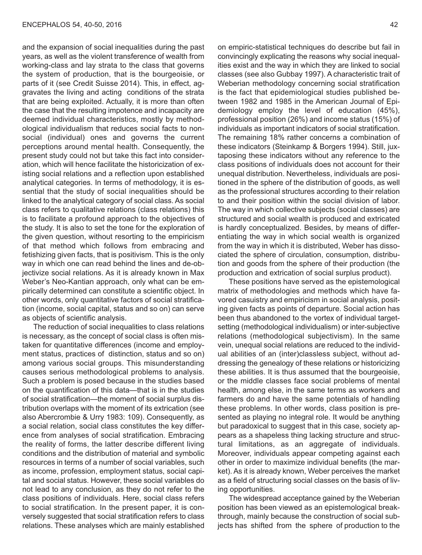and the expansion of social inequalities during the past years, as well as the violent transference of wealth from working-class and lay strata to the class that governs the system of production, that is the bourgeoisie, or parts of it (see Credit Suisse 2014). This, in effect, aggravates the living and acting conditions of the strata that are being exploited. Actually, it is more than often the case that the resulting impotence and incapacity are deemed individual characteristics, mostly by methodological individualism that reduces social facts to nonsocial (individual) ones and governs the current perceptions around mental health. Consequently, the present study could not but take this fact into consideration, which will hence facilitate the historicization of existing social relations and a reflection upon established analytical categories. In terms of methodology, it is essential that the study of social inequalities should be linked to the analytical category of social class. As social class refers to qualitative relations (class relations) this is to facilitate a profound approach to the objectives of the study. It is also to set the tone for the exploration of the given question, without resorting to the empiricism of that method which follows from embracing and fetishizing given facts, that is positivism. This is the only way in which one can read behind the lines and de-objectivize social relations. As it is already known in Max Weber's Neo-Kantian approach, only what can be empirically determined can constitute a scientific object. In other words, only quantitative factors of social stratification (income, social capital, status and so on) can serve as objects of scientific analysis.

The reduction of social inequalities to class relations is necessary, as the concept of social class is often mistaken for quantitative differences (income and employment status, practices of distinction, status and so on) among various social groups. This misunderstanding causes serious methodological problems to analysis. Such a problem is posed because in the studies based on the quantification of this data—that is in the studies of social stratification—the moment of social surplus distribution overlaps with the moment of its extrication (see also Abercrombie & Urry 1983: 109). Consequently, as a social relation, social class constitutes the key difference from analyses of social stratification. Embracing the reality of forms, the latter describe different living conditions and the distribution of material and symbolic resources in terms of a number of social variables, such as income, profession, employment status, social capital and social status. However, these social variables do not lead to any conclusion, as they do not refer to the class positions of individuals. Here, social class refers to social stratification. In the present paper, it is conversely suggested that social stratification refers to class relations. These analyses which are mainly established

on empiric-statistical techniques do describe but fail in convincingly explicating the reasons why social inequalities exist and the way in which they are linked to social classes (see also Gubbay 1997). A characteristic trait of Weberian methodology concerning social stratification is the fact that epidemiological studies published between 1982 and 1985 in the American Journal of Epidemiology employ the level of education (45%), professional position (26%) and income status (15%) of individuals as important indicators of social stratification. The remaining 18% rather concerns a combination of these indicators (Steinkamp & Borgers 1994). Still, juxtaposing these indicators without any reference to the class positions of individuals does not account for their unequal distribution. Nevertheless, individuals are positioned in the sphere of the distribution of goods, as well as the professional structures according to their relation to and their position within the social division of labor. The way in which collective subjects (social classes) are structured and social wealth is produced and extricated is hardly conceptualized. Besides, by means of differentiating the way in which social wealth is organized from the way in which it is distributed, Weber has dissociated the sphere of circulation, consumption, distribution and goods from the sphere of their production (the production and extrication of social surplus product).

These positions have served as the epistemological matrix of methodologies and methods which have favored casuistry and empiricism in social analysis, positing given facts as points of departure. Social action has been thus abandoned to the vortex of individual targetsetting (methodological individualism) or inter-subjective relations (methodological subjectivism). In the same vein, unequal social relations are reduced to the individual abilities of an (inter)classless subject, without addressing the genealogy of these relations or historicizing these abilities. It is thus assumed that the bourgeoisie, or the middle classes face social problems of mental health, among else, in the same terms as workers and farmers do and have the same potentials of handling these problems. In other words, class position is presented as playing no integral role. It would be anything but paradoxical to suggest that in this case, society appears as a shapeless thing lacking structure and structural limitations, as an aggregate of individuals. Moreover, individuals appear competing against each other in order to maximize individual benefits (the market). As it is already known, Weber perceives the market as a field of structuring social classes on the basis of living opportunities.

The widespread acceptance gained by the Weberian position has been viewed as an epistemological breakthrough, mainly because the construction of social subjects has shifted from the sphere of production to the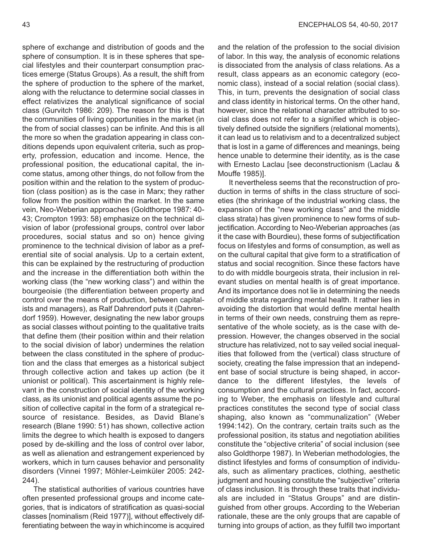sphere of exchange and distribution of goods and the sphere of consumption. It is in these spheres that special lifestyles and their counterpart consumption practices emerge (Status Groups). As a result, the shift from the sphere of production to the sphere of the market, along with the reluctance to determine social classes in effect relativizes the analytical significance of social class (Gurvitch 1986: 209). The reason for this is that the communities of living opportunities in the market (in the from of social classes) can be infinite. And this is all the more so when the gradation appearing in class conditions depends upon equivalent criteria, such as property, profession, education and income. Hence, the professional position, the educational capital, the income status, among other things, do not follow from the position within and the relation to the system of production (class position) as is the case in Marx; they rather follow from the position within the market. In the same vein, Neo-Weberian approaches (Goldthorpe 1987: 40- 43; Crompton 1993: 58) emphasize on the technical division of labor (professional groups, control over labor procedures, social status and so on) hence giving prominence to the technical division of labor as a preferential site of social analysis. Up to a certain extent, this can be explained by the restructuring of production and the increase in the differentiation both within the working class (the "new working class") and within the bourgeoisie (the differentiation between property and control over the means of production, between capitalists and managers), as Ralf Dahrendorf puts it (Dahrendorf 1959). However, designating the new labor groups as social classes without pointing to the qualitative traits that define them (their position within and their relation to the social division of labor) undermines the relation between the class constituted in the sphere of production and the class that emerges as a historical subject through collective action and takes up action (be it unionist or political). This ascertainment is highly relevant in the construction of social identity of the working class, as its unionist and political agents assume the position of collective capital in the form of a strategical resource of resistance. Besides, as David Blane's research (Blane 1990: 51) has shown, collective action limits the degree to which health is exposed to dangers posed by de-skilling and the loss of control over labor, as well as alienation and estrangement experienced by workers, which in turn causes behavior and personality disorders (Vinnei 1997; Möhler-Leimküler 2005: 242- 244).

The statistical authorities of various countries have often presented professional groups and income categories, that is indicators of stratification as quasi-social classes [nominalism (Reid 1977)], without effectively differentiating between the way in whichincome is acquired and the relation of the profession to the social division of labor. In this way, the analysis of economic relations is dissociated from the analysis of class relations. As a result, class appears as an economic category (economic class), instead of a social relation (social class). This, in turn, prevents the designation of social class and class identity in historical terms. On the other hand, however, since the relational character attributed to social class does not refer to a signified which is objectively defined outside the signifiers (relational moments), it can lead us to relativism and to a decentralized subject that is lost in a game of differences and meanings, being hence unable to determine their identity, as is the case with Ernesto Laclau [see deconstructionism (Laclau & Mouffe 1985)].

It nevertheless seems that the reconstruction of production in terms of shifts in the class structure of societies (the shrinkage of the industrial working class, the expansion of the "new working class" and the middle class strata) has given prominence to new forms of subjectification. According to Neo-Weberian approaches (as it the case with Bourdieu), these forms of subjectification focus on lifestyles and forms of consumption, as well as on the cultural capital that give form to a stratification of status and social recognition. Since these factors have to do with middle bourgeois strata, their inclusion in relevant studies on mental health is of great importance. And its importance does not lie in determining the needs of middle strata regarding mental health. It rather lies in avoiding the distortion that would define mental health in terms of their own needs, construing them as representative of the whole society, as is the case with depression. However, the changes observed in the social structure has relativized, not to say veiled social inequalities that followed from the (vertical) class structure of society, creating the false impression that an independent base of social structure is being shaped, in accordance to the different lifestyles, the levels of consumption and the cultural practices. In fact, according to Weber, the emphasis on lifestyle and cultural practices constitutes the second type of social class shaping, also known as "communalization" (Weber 1994:142). On the contrary, certain traits such as the professional position, its status and negotiation abilities constitute the "objective criteria" of social inclusion (see also Goldthorpe 1987). In Weberian methodologies, the distinct lifestyles and forms of consumption of individuals, such as alimentary practices, clothing, aesthetic judgment and housing constitute the "subjective" criteria of class inclusion. It is through these traits that individuals are included in "Status Groups" and are distinguished from other groups. According to the Weberian rationale, these are the only groups that are capable of turning into groups of action, as they fulfill two important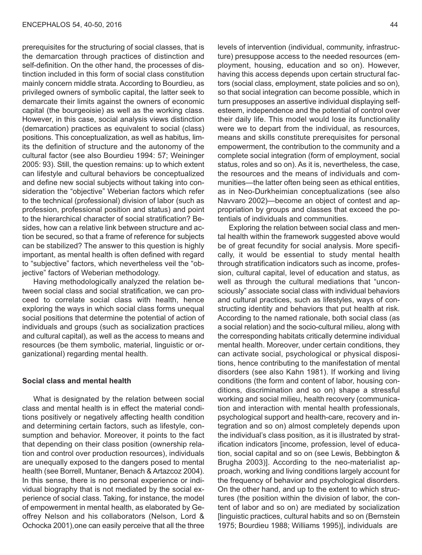prerequisites for the structuring of social classes, that is the demarcation through practices of distinction and self-definition. On the other hand, the processes of distinction included in this form of social class constitution mainly concern middle strata. According to Bourdieu, as privileged owners of symbolic capital, the latter seek to demarcate their limits against the owners of economic capital (the bourgeoisie) as well as the working class. However, in this case, social analysis views distinction (demarcation) practices as equivalent to social (class) positions. This conceptualization, as well as habitus, limits the definition of structure and the autonomy of the cultural factor (see also Bourdieu 1994: 57; Weininger 2005: 93). Still, the question remains: up to which extent can lifestyle and cultural behaviors be conceptualized and define new social subjects without taking into consideration the "objective" Weberian factors which refer to the technical (professional) division of labor (such as profession, professional position and status) and point to the hierarchical character of social stratification? Besides, how can a relative link between structure and action be secured, so that a frame of reference for subjects can be stabilized? The answer to this question is highly important, as mental health is often defined with regard to "subjective" factors, which nevertheless veil the "objective" factors of Weberian methodology.

Having methodologically analyzed the relation between social class and social stratification, we can proceed to correlate social class with health, hence exploring the ways in which social class forms unequal social positions that determine the potential of action of individuals and groups (such as socialization practices and cultural capital), as well as the access to means and resources (be them symbolic, material, linguistic or organizational) regarding mental health.

### **Social class and mental health**

What is designated by the relation between social class and mental health is in effect the material conditions positively or negatively affecting health condition and determining certain factors, such as lifestyle, consumption and behavior. Moreover, it points to the fact that depending on their class position (ownership relation and control over production resources), individuals are unequally exposed to the dangers posed to mental health (see Borrell, Muntaner, Benach & Artazcoz 2004). In this sense, there is no personal experience or individual biography that is not mediated by the social experience of social class. Taking, for instance, the model of empowerment in mental health, as elaborated by Geoffrey Nelson and his collaborators (Nelson, Lord & Ochocka 2001),one can easily perceive that all the three

levels of intervention (individual, community, infrastructure) presuppose access to the needed resources (employment, housing, education and so on). However, having this access depends upon certain structural factors (social class, employment, state policies and so on), so that social integration can become possible, which in turn presupposes an assertive individual displaying selfesteem, independence and the potential of control over their daily life. This model would lose its functionality were we to depart from the individual, as resources, means and skills constitute prerequisites for personal empowerment, the contribution to the community and a complete social integration (form of employment, social status, roles and so on). As it is, nevertheless, the case, the resources and the means of individuals and communities—the latter often being seen as ethical entities, as in Neo-Durkheimian conceptualizations (see also Navvaro 2002)—become an object of contest and appropriation by groups and classes that exceed the potentials of individuals and communities.

Exploring the relation between social class and mental health within the framework suggested above would be of great fecundity for social analysis. More specifically, it would be essential to study mental health through stratification indicators such as income, profession, cultural capital, level of education and status, as well as through the cultural mediations that "unconsciously" associate social class with individual behaviors and cultural practices, such as lifestyles, ways of constructing identity and behaviors that put health at risk. According to the named rationale, both social class (as a social relation) and the socio-cultural milieu, along with the corresponding habitats critically determine individual mental health. Moreover, under certain conditions, they can activate social, psychological or physical dispositions, hence contributing to the manifestation of mental disorders (see also Kahn 1981). If working and living conditions (the form and content of labor, housing conditions, discrimination and so on) shape a stressful working and social milieu, health recovery (communication and interaction with mental health professionals, psychological support and health-care, recovery and integration and so on) almost completely depends upon the individual's class position, as it is illustrated by stratification indicators [income, profession, level of education, social capital and so on (see Lewis, Bebbington & Brugha 2003)]. According to the neo-materialist approach, working and living conditions largely account for the frequency of behavior and psychological disorders. On the other hand, and up to the extent to which structures (the position within the division of labor, the content of labor and so on) are mediated by socialization [linguistic practices, cultural habits and so on (Bernstein 1975; Bourdieu 1988; Williams 1995)], individuals are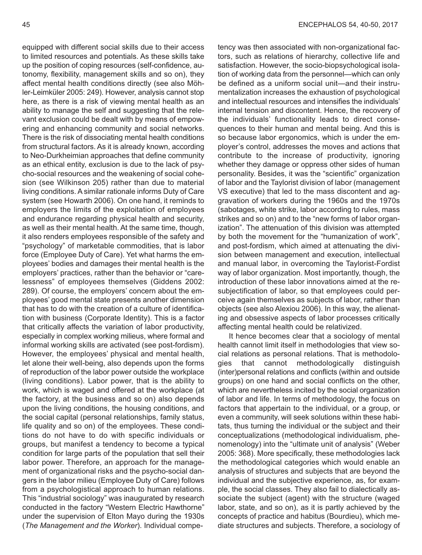equipped with different social skills due to their access to limited resources and potentials. As these skills take up the position of coping resources (self-confidence, autonomy, flexibility, management skills and so on), they affect mental health conditions directly (see also Möhler-Leimküler 2005: 249). However, analysis cannot stop here, as there is a risk of viewing mental health as an ability to manage the self and suggesting that the relevant exclusion could be dealt with by means of empowering and enhancing community and social networks. There is the risk of dissociating mental health conditions from structural factors. As it is already known, according to Neo-Durkheimian approaches that define community as an ethical entity, exclusion is due to the lack of psycho-social resources and the weakening of social cohesion (see Wilkinson 205) rather than due to material living conditions. A similar rationale informs Duty of Care system (see Howarth 2006). On one hand, it reminds to employers the limits of the exploitation of employees and endurance regarding physical health and security, as well as their mental health. At the same time, though, it also renders employees responsible of the safety and "psychology" of marketable commodities, that is labor force (Employee Duty of Care). Yet what harms the employees' bodies and damages their mental health is the employers' practices, rather than the behavior or "carelessness" of employees themselves (Giddens 2002: 289). Of course, the employers' concern about the employees' good mental state presents another dimension that has to do with the creation of a culture of identification with business (Corporate Identity). This is a factor that critically affects the variation of labor productivity, especially in complex working milieus, where formal and informal working skills are activated (see post-fordism). However, the employees' physical and mental health, let alone their well-being, also depends upon the forms of reproduction of the labor power outside the workplace (living conditions). Labor power, that is the ability to work, which is waged and offered at the workplace (at the factory, at the business and so on) also depends upon the living conditions, the housing conditions, and the social capital (personal relationships, family status, life quality and so on) of the employees. These conditions do not have to do with specific individuals or groups, but manifest a tendency to become a typical condition for large parts of the population that sell their labor power. Therefore, an approach for the management of organizational risks and the psycho-social dangers in the labor milieu (Employee Duty of Care) follows from a psychologistical approach to human relations. This "industrial sociology" was inaugurated by research conducted in the factory "Western Electric Hawthorne" under the supervision of Elton Mayo during the 1930s (*The Management and the Worker*). Individual competency was then associated with non-organizational factors, such as relations of hierarchy, collective life and satisfaction. However, the socio-biopsychological isolation of working data from the personnel—which can only be defined as a uniform social unit—and their instrumentalization increases the exhaustion of psychological and intellectual resources and intensifies the individuals' internal tension and discontent. Hence, the recovery of the individuals' functionality leads to direct consequences to their human and mental being. And this is so because labor ergonomics, which is under the employer's control, addresses the moves and actions that contribute to the increase of productivity, ignoring whether they damage or oppress other sides of human personality. Besides, it was the "scientific" organization of labor and the Taylorist division of labor (management VS executive) that led to the mass discontent and aggravation of workers during the 1960s and the 1970s (sabotages, white strike, labor according to rules, mass strikes and so on) and to the "new forms of labor organization". The attenuation of this division was attempted by both the movement for the "humanization of work", and post-fordism, which aimed at attenuating the division between management and execution, intellectual and manual labor, in overcoming the Taylorist-Fordist way of labor organization. Most importantly, though, the introduction of these labor innovations aimed at the resubjectification of labor, so that employees could perceive again themselves as subjects of labor, rather than objects (see also Alexiou 2006). In this way, the alienating and obsessive aspects of labor processes critically affecting mental health could be relativized.

It hence becomes clear that a sociology of mental health cannot limit itself in methodologies that view social relations as personal relations. That is methodologies that cannot methodologically distinguish (inter)personal relations and conflicts (within and outside groups) on one hand and social conflicts on the other, which are nevertheless incited by the social organization of labor and life. In terms of methodology, the focus on factors that appertain to the individual, or a group, or even a community, will seek solutions within these habitats, thus turning the individual or the subject and their conceptualizations (methodological individualism, phenomenology) into the "ultimate unit of analysis" (Weber 2005: 368). More specifically, these methodologies lack the methodological categories which would enable an analysis of structures and subjects that are beyond the individual and the subjective experience, as, for example, the social classes. They also fail to dialectically associate the subject (agent) with the structure (waged labor, state, and so on), as it is partly achieved by the concepts of practice and habitus (Bourdieu), which mediate structures and subjects. Therefore, a sociology of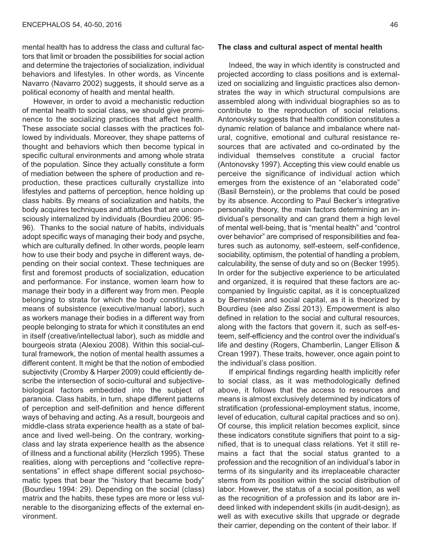mental health has to address the class and cultural factors that limit or broaden the possibilities for social action and determine the trajectories of socialization, individual behaviors and lifestyles. In other words, as Vincente Navarro (Navarro 2002) suggests, it should serve as a political economy of health and mental health.

However, in order to avoid a mechanistic reduction of mental health to social class, we should give prominence to the socializing practices that affect health. These associate social classes with the practices followed by individuals. Moreover, they shape patterns of thought and behaviors which then become typical in specific cultural environments and among whole strata of the population. Since they actually constitute a form of mediation between the sphere of production and reproduction, these practices culturally crystallize into lifestyles and patterns of perception, hence holding up class habits. By means of socialization and habits, the body acquires techniques and attitudes that are unconsciously internalized by individuals (Bourdieu 2006: 95- 96). Thanks to the social nature of habits, individuals adopt specific ways of managing their body and psyche, which are culturally defined. In other words, people learn how to use their body and psyche in different ways, depending on their social context. These techniques are first and foremost products of socialization, education and performance. For instance, women learn how to manage their body in a different way from men. People belonging to strata for which the body constitutes a means of subsistence (executive/manual labor), such as workers manage their bodies in a different way from people belonging to strata for which it constitutes an end in itself (creative/intellectual labor), such as middle and bourgeois strata (Alexiou 2008). Within this social-cultural framework, the notion of mental health assumes a different content. It might be that the notion of embodied subjectivity (Cromby & Harper 2009) could efficiently describe the intersection of socio-cultural and subjectivebiological factors embedded into the subject of paranoia. Class habits, in turn, shape different patterns of perception and self-definition and hence different ways of behaving and acting. As a result, bourgeois and middle-class strata experience health as a state of balance and lived well-being. On the contrary, workingclass and lay strata experience health as the absence of illness and a functional ability (Herzlich 1995). These realities, along with perceptions and "collective representations" in effect shape different social psychosomatic types that bear the "history that became body" (Bourdieu 1994: 29). Depending on the social (class) matrix and the habits, these types are more or less vulnerable to the disorganizing effects of the external environment.

#### **The class and cultural aspect of mental health**

Indeed, the way in which identity is constructed and projected according to class positions and is externalized on socializing and linguistic practices also demonstrates the way in which structural compulsions are assembled along with individual biographies so as to contribute to the reproduction of social relations. Antonovsky suggests that health condition constitutes a dynamic relation of balance and imbalance where natural, cognitive, emotional and cultural resistance resources that are activated and co-ordinated by the individual themselves constitute a crucial factor (Antonovsky 1997). Accepting this view could enable us perceive the significance of individual action which emerges from the existence of an "elaborated code" (Basil Bernstein), or the problems that could be posed by its absence. According to Paul Becker's integrative personality theory, the main factors determining an individual's personality and can grand them a high level of mental well-being, that is "mental health" and "control over behavior" are comprised of responsibilities and features such as autonomy, self-esteem, self-confidence, sociability, optimism, the potential of handling a problem, calculability, the sense of duty and so on (Becker 1995). In order for the subjective experience to be articulated and organized, it is required that these factors are accompanied by linguistic capital, as it is conceptualized by Bernstein and social capital, as it is theorized by Bourdieu (see also Zissi 2013). Empowerment is also defined in relation to the social and cultural resources, along with the factors that govern it, such as self-esteem, self-efficiency and the control over the individual's life and destiny (Rogers, Chamberlin, Langer Ellison & Crean 1997). These traits, however, once again point to the individual's class position.

If empirical findings regarding health implicitly refer to social class, as it was methodologically defined above, it follows that the access to resources and means is almost exclusively determined by indicators of stratification (professional-employment status, income, level of education, cultural capital practices and so on). Of course, this implicit relation becomes explicit, since these indicators constitute signifiers that point to a signified, that is to unequal class relations. Yet it still remains a fact that the social status granted to a profession and the recognition of an individual's labor in terms of its singularity and its irreplaceable character stems from its position within the social distribution of labor. However, the status of a social position, as well as the recognition of a profession and its labor are indeed linked with independent skills (in audit-design), as well as with executive skills that upgrade or degrade their carrier, depending on the content of their labor. If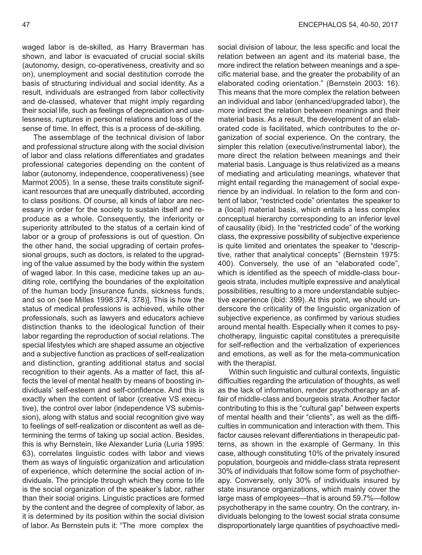waged labor is de-skilled, as Harry Braverman has shown, and labor is evacuated of crucial social skills (autonomy, design, co-operativeness, creativity and so on), unemployment and social destitution corrode the basis of structuring individual and social identity. As a result, individuals are estranged from labor collectivity and de-classed, whatever that might imply regarding their social life, such as feelings of depreciation and uselessness, ruptures in personal relations and loss of the sense of time. In effect, this is a process of de-skilling.

The assemblage of the technical division of labor and professional structure along with the social division of labor and class relations differentiates and gradates professional categories depending on the content of labor (autonomy, independence, cooperativeness) (see Marmot 2005). In a sense, these traits constitute significant resources that are unequally distributed, according to class positions. Of course, all kinds of labor are necessary in order for the society to sustain itself and reproduce as a whole. Consequently, the inferiority or superiority attributed to the status of a certain kind of labor or a group of professions is out of question. On the other hand, the social upgrading of certain professional groups, such as doctors, is related to the upgrading of the value assumed by the body within the system of waged labor. In this case, medicine takes up an auditing role, certifying the boundaries of the exploitation of the human body [insurance funds, sickness funds, and so on (see Milles 1998:374, 378)]. This is how the status of medical professions is achieved, while other professionals, such as lawyers and educators achieve distinction thanks to the ideological function of their labor regarding the reproduction of social relations. The special lifestyles which are shaped assume an objective and a subjective function as practices of self-realization and distinction, granting additional status and social recognition to their agents. As a matter of fact, this affects the level of mental health by means of boosting individuals' self-esteem and self-confidence. And this is exactly when the content of labor (creative VS executive), the control over labor (independence VS submission), along with status and social recognition give way to feelings of self-realization or discontent as well as determining the terms of taking up social action. Besides, this is why Bernstein, like Alexander Luria (Luria 1995: 63), correlates linguistic codes with labor and views them as ways of linguistic organization and articulation of experience, which determine the social action of individuals. The principle through which they come to life is the social organization of the speaker's labor, rather than their social origins. Linguistic practices are formed by the content and the degree of complexity of labor, as it is determined by its position within the social division of labor. As Bernstein puts it: "The more complex the

social division of labour, the less specific and local the relation between an agent and its material base, the more indirect the relation between meanings and a specific material base, and the greater the probability of an elaborated coding orientation." (Bernstein 2003: 16). This means that the more complex the relation between an individual and labor (enhanced/upgraded labor), the more indirect the relation between meanings and their material basis. As a result, the development of an elaborated code is facilitated, which contributes to the organization of social experience. On the contrary, the simpler this relation (executive/instrumental labor), the more direct the relation between meanings and their material basis. Language is thus relativized as a means of mediating and articulating meanings, whatever that might entail regarding the management of social experience by an individual. In relation to the form and content of labor, "restricted code" orientates the speaker to a (local) material basis, which entails a less complex conceptual hierarchy corresponding to an inferior level of causality (ibid). In the "restricted code" of the working class, the expressive possibility of subjective experience is quite limited and orientates the speaker to "descriptive, rather that analytical concepts" (Bernstein 1975: 400). Conversely, the use of an "elaborated code", which is identified as the speech of middle-class bourgeois strata, includes multiple expressive and analytical possibilities, resulting to a more understandable subjective experience (ibid: 399). At this point, we should underscore the criticality of the linguistic organization of subjective experience, as confirmed by various studies around mental health. Especially when it comes to psychotherapy, linguistic capital constitutes a prerequisite for self-reflection and the verbalization of experiences and emotions, as well as for the meta-communication with the therapist.

Within such linguistic and cultural contexts, linguistic difficulties regarding the articulation of thoughts, as well as the lack of information, render psychotherapy an affair of middle-class and bourgeois strata. Another factor contributing to this is the "cultural gap" between experts of mental health and their "clients", as well as the difficulties in communication and interaction with them. This factor causes relevant differentiations in therapeutic patterns, as shown in the example of Germany. In this case, although constituting 10% of the privately insured population, bourgeois and middle-class strata represent 30% of individuals that follow some form of psychotherapy. Conversely, only 30% of individuals insured by state insurance organizations, which mainly cover the large mass of employees—that is around 59.7%—follow psychotherapy in the same country. On the contrary, individuals belonging to the lowest social strata consume disproportionately large quantities of psychoactive medi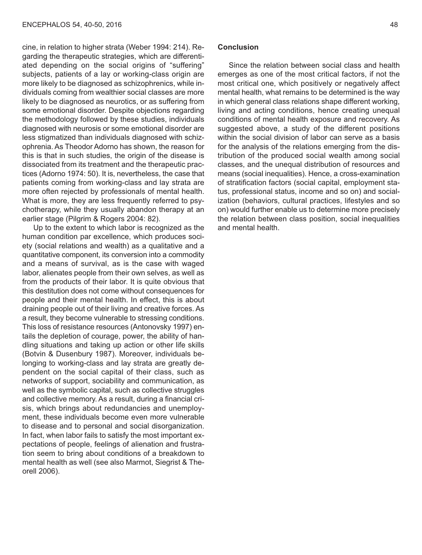cine, in relation to higher strata (Weber 1994: 214). Regarding the therapeutic strategies, which are differentiated depending on the social origins of "suffering" subjects, patients of a lay or working-class origin are more likely to be diagnosed as schizophrenics, while individuals coming from wealthier social classes are more likely to be diagnosed as neurotics, or as suffering from some emotional disorder. Despite objections regarding the methodology followed by these studies, individuals diagnosed with neurosis or some emotional disorder are less stigmatized than individuals diagnosed with schizophrenia. As Theodor Adorno has shown, the reason for this is that in such studies, the origin of the disease is dissociated from its treatment and the therapeutic practices (Adorno 1974: 50). It is, nevertheless, the case that patients coming from working-class and lay strata are more often rejected by professionals of mental health. What is more, they are less frequently referred to psychotherapy, while they usually abandon therapy at an earlier stage (Pilgrim & Rogers 2004: 82).

Up to the extent to which labor is recognized as the human condition par excellence, which produces society (social relations and wealth) as a qualitative and a quantitative component, its conversion into a commodity and a means of survival, as is the case with waged labor, alienates people from their own selves, as well as from the products of their labor. It is quite obvious that this destitution does not come without consequences for people and their mental health. In effect, this is about draining people out of their living and creative forces. As a result, they become vulnerable to stressing conditions. This loss of resistance resources (Antonovsky 1997) entails the depletion of courage, power, the ability of handling situations and taking up action or other life skills (Botvin & Dusenbury 1987). Moreover, individuals belonging to working-class and lay strata are greatly dependent on the social capital of their class, such as networks of support, sociability and communication, as well as the symbolic capital, such as collective struggles and collective memory. As a result, during a financial crisis, which brings about redundancies and unemployment, these individuals become even more vulnerable to disease and to personal and social disorganization. In fact, when labor fails to satisfy the most important expectations of people, feelings of alienation and frustration seem to bring about conditions of a breakdown to mental health as well (see also Marmot, Siegrist & Theorell 2006).

# **Conclusion**

Since the relation between social class and health emerges as one of the most critical factors, if not the most critical one, which positively or negatively affect mental health, what remains to be determined is the way in which general class relations shape different working, living and acting conditions, hence creating unequal conditions of mental health exposure and recovery. As suggested above, a study of the different positions within the social division of labor can serve as a basis for the analysis of the relations emerging from the distribution of the produced social wealth among social classes, and the unequal distribution of resources and means (social inequalities). Hence, a cross-examination of stratification factors (social capital, employment status, professional status, income and so on) and socialization (behaviors, cultural practices, lifestyles and so on) would further enable us to determine more precisely the relation between class position, social inequalities and mental health.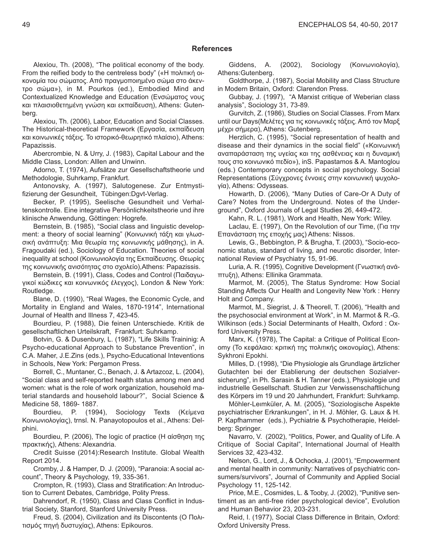## **References**

Alexiou, Th. (2008), "The political economy of the body. From the reified body to the centreless body" («Η πολιτική οικονομία του σώματος. Από πραγμοποιημένο σώμα στο άκεντρο σώμα»), in M. Pourkos (ed.), Embodied Mind and Contextualized Knowledge and Education (Ενσώματος νους και πλαισιοθετημένη γνώση και εκπαίδευση), Athens: Gutenberg.

Alexiou, Th. (2006), Labor, Education and Social Classes. The Historical-theoretical Framework (Εργασία, εκπαίδευση και κοινωνικές τάξεις. Το ιστορικό-θεωρητικό πλαίσιο), Athens: Papazissis.

Abercrombie, Ν. & Urry, J. (1983), Capital Labour and the Middle Class, London: Alllen and Unwinn.

Adorno, T. (1974), Aufsätze zur Gesellschaftstheorie und Methodologie, Suhrkamp, Frankfurt.

Antonovsky, A. (1997), Salutogenese. Zur Entmystifizierung der Gesundheit, Tübingen:Dgvt-Verlag.

Becker, P. (1995), Seelische Gesundheit und Verhaltenskontrolle. Eine integrative Persönlichkeitstheorie und ihre klinische Anwendung, Göttingen: Ηogrefe.

Bernstein, Β. (1985), "Social class and linguistic development: a theory of social learning" (Κοινωνική τάξη και γλωσσική ανάπτυξη: Μια θεωρία της κοινωνικής μάθησης), in A. Fragoudaki (ed.), Sociology of Education. Theories of social inequality at school (Κοινωνιολογία της Εκπαίδευσης. Θεωρίες της κοινωνικής ανισότητας στο σχολείο),Athens: Papazissis.

Bernstein, Β. (1991), Class, Codes and Control (Παιδαγωγικοί κώδικες και κοινωνικός έλεγχος), London & New York: Routledge.

Blane, D. (1990), "Real Wages, the Economic Cycle, and Mortality in England and Wales, 1870-1914", International Journal of Health and Illness 7, 423-45.

Bourdieu, P. (1988), Die feinen Unterschiede. Kritik de gesellschaftlichen Urteilskraft, Frankfurt: Suhrkamp.

Botvin, G. & Dusenbury, L. (1987), "Life Skills Traininig: A Psycho-educational Approach to Substance Prevention", in C.A. Maher, J.E.Zins (eds.), Psycho-Educational Inteventions in Schools, New York: Pergamon Press.

Borrell, C., Muntaner, C., Benach, J. & Artazcoz, L. (2004), "Social class and self-reported health status among men and women: what is the role of work organization, household material standards and household labour?", Social Science & Medicine 58, 1869- 1887.

Bourdieu, P. (1994), Sociology Texts (Kείμενα Kοινωνιολογίας), trnsl. N. Panayotopoulos et al., Athens: Delphini.

Bourdieu, P. (2006), The logic of practice (Η αίσθηση της πρακτικής), Athens: Alexandria.

Credit Suisse (2014):Research Institute. Global Wealth Report 2014.

Cromby, J. & Hamper, D. J. (2009), "Paranoia: A social account", Theory & Psychology, 19, 335-361.

Crompton, R. (1993), Class and Stratification: An Introduction to Current Debates, Cambridge, Polity Press.

Dahrendorf, R. (1950), Class and Class Conflict in Industrial Society, Stanford, Stanford University Press.

Freud, S. (2004), Civilization and its Discontents (Ο Πολιτισμός πηγή δυστυχίας), Athens: Epikouros.

Giddens, A. (2002), Sociology (Κοινωνιολογία), Athens:Gutenberg.

Goldthorpe, J. (1987), Social Mobility and Class Structure in Modern Britain, Oxford: Clarendon Press.

Gubbay, J. (1997), "Α Μarxist critique of Weberian class analysis", Sociology 31, 73-89.

Gurvitch, Z. (1986), Studies on Social Classes. From Marx until our Days(Μελέτες για τις κοινωνικές τάξεις. Από τον Μαρξ μέχρι σήμερα), Athens: Gutenberg.

Herzlich, C. (1995), "Social representation of health and disease and their dynamics in the social field" («Κοινωνική αναπαράσταση της υγείας και της ασθένειας και η δυναμική τους στο κοινωνικό πεδίο»), inS. Papastamos & A. Mantoglou (eds.) Contemporary concepts in social psychology. Social Representations (Σύγχρονες έννοιες στην κοινωνική ψυχολογία), Athens: Odysseas.

Howarth, D. (2006), "Many Duties of Care-Or A Duty of Care? Notes from the Underground. Notes of the Underground", Oxford Journals of Legal Studies 26, 449-472.

Kahn, R. L. (1981), Work and Health, New York: Wiley.

Laclau, E. (1997), On the Revolution of our Time, (Για την Επανάσταση της εποχής μας) Athens: Nissos.

Lewis, G., Bebbington, P. & Brugha, T. (2003), "Socio-economic status, standard of living, and neurotic disorder, International Review of Psychiatry 15, 91-96.

Luria, A. R. (1995), Cognitive Development (Γνωστική ανάπτυξη), Athens: Ellinika Grammata.

Marmot, M. (2005), The Status Syndrome: How Social Standing Affects Our Health and Longevity New York : Henry Holt and Company.

Marmot, M., Siegrist, J. & Theorell, T. (2006), "Health and the psychosocial environment at Work", in M. Marmot & R.-G. Wilkinson (eds.) Social Determinants of Health, Oxford : Oxford University Press.

Marx, K. (1978), The Capital: a Critique of Political Economy (Το κεφάλαιο: κριτική της πολιτικής οικονομίας), Athens: Sykhroni Epokhi.

Milles, D. (1998), "Die Physiologie als Grundlage ärtzlicher Gutachten bei der Etablierung der deutschen Sozialversicherung", in Ph. Sarasin & H. Tanner (eds.), Physiologie und industrielle Gesellschaft. Studien zur Verwissenschaftlichung des Körpers im 19 und 20 Jahrhundert, Frankfurt: Suhrkamp.

Möhler-Leιmküler, A. M. (2005), "Soziologische Aspekte psychiatrischer Erkrankungen", in H. J. Möhler, G. Laux & H. P. Kapfhammer (eds.), Pychiatrie & Psychotherapie, Heidelberg: Springer.

Navarro, V. (2002), "Politics, Power, and Quality of Life. A Critique of Social Capital", International Journal of Health Services 32, 423-432.

Nelson, G., Lord, J., & Ochocka, J. (2001), "Empowerment and mental health in community: Narratives of psychiatric consumers/survivors", Journal of Community and Applied Social Psychology 11, 125-142.

Price, M.E., Cosmides, L. & Tooby, J. (2002), "Punitive sentiment as an anti-free rider psychological device", Evolution and Human Behavior 23, 203-231.

Reid, Ι. (1977), Social Class Difference in Britain, Oxford: Oxford University Press.